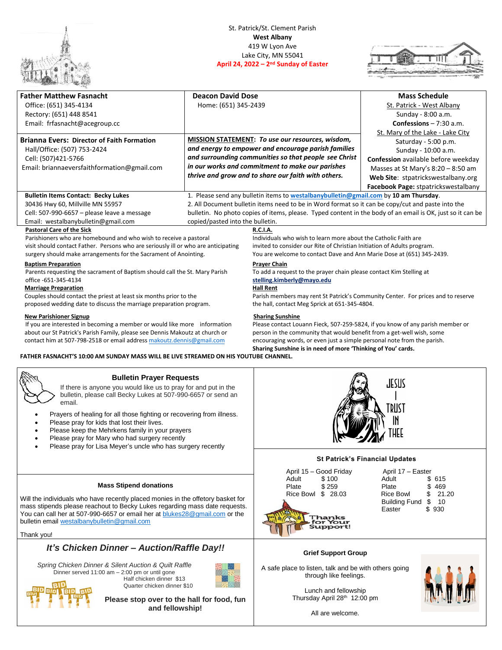

## St. Patrick/St. Clement Parish **West Albany** 419 W Lyon Ave Lake City, MN 55041 **April 24, 2022 – 2<sup>nd</sup> Sunday of Easter**



| <b>Father Matthew Fasnacht</b><br>Office: (651) 345-4134<br>Rectory: (651) 448 8541                                                                                                                                                                                                                                                                                                                                                                                     | <b>Deacon David Dose</b><br>Home: (651) 345-2439                                                                                                                                                                                                                            |                                                                                                                                                                                                                                                                                                                               | <b>Mass Schedule</b><br>St. Patrick - West Albany<br>Sunday - 8:00 a.m.                                                                                                                               |  |
|-------------------------------------------------------------------------------------------------------------------------------------------------------------------------------------------------------------------------------------------------------------------------------------------------------------------------------------------------------------------------------------------------------------------------------------------------------------------------|-----------------------------------------------------------------------------------------------------------------------------------------------------------------------------------------------------------------------------------------------------------------------------|-------------------------------------------------------------------------------------------------------------------------------------------------------------------------------------------------------------------------------------------------------------------------------------------------------------------------------|-------------------------------------------------------------------------------------------------------------------------------------------------------------------------------------------------------|--|
| Email: frfasnacht@acegroup.cc                                                                                                                                                                                                                                                                                                                                                                                                                                           |                                                                                                                                                                                                                                                                             |                                                                                                                                                                                                                                                                                                                               | <b>Confessions</b> $- 7:30$ a.m.<br>St. Mary of the Lake - Lake City                                                                                                                                  |  |
| <b>Brianna Evers: Director of Faith Formation</b><br>Hall/Office: (507) 753-2424<br>Cell: (507)421-5766<br>Email: briannaeversfaithformation@gmail.com                                                                                                                                                                                                                                                                                                                  | MISSION STATEMENT: To use our resources, wisdom,<br>and energy to empower and encourage parish families<br>and surrounding communities so that people see Christ<br>in our works and commitment to make our parishes<br>thrive and grow and to share our faith with others. |                                                                                                                                                                                                                                                                                                                               | Saturday - 5:00 p.m.<br>Sunday - 10:00 a.m.<br>Confession available before weekday<br>Masses at St Mary's 8:20 - 8:50 am<br>Web Site: stpatrickswestalbany.org<br>Facebook Page: stpatrickswestalbany |  |
| <b>Bulletin Items Contact: Becky Lukes</b><br>30436 Hwy 60, Millville MN 55957<br>Cell: 507-990-6657 - please leave a message<br>Email: westalbanybulletin@gmail.com                                                                                                                                                                                                                                                                                                    | copied/pasted into the bulletin.                                                                                                                                                                                                                                            | 1. Please send any bulletin items to westalbanybulletin@gmail.com by 10 am Thursday.<br>2. All Document bulletin items need to be in Word format so it can be copy/cut and paste into the                                                                                                                                     | bulletin. No photo copies of items, please. Typed content in the body of an email is OK, just so it can be                                                                                            |  |
| <b>Pastoral Care of the Sick</b><br>Parishioners who are homebound and who wish to receive a pastoral<br>visit should contact Father. Persons who are seriously ill or who are anticipating<br>surgery should make arrangements for the Sacrament of Anointing.                                                                                                                                                                                                         | <b>R.C.I.A.</b><br>Individuals who wish to learn more about the Catholic Faith are<br>invited to consider our Rite of Christian Initiation of Adults program.<br>You are welcome to contact Dave and Ann Marie Dose at (651) 345-2439.                                      |                                                                                                                                                                                                                                                                                                                               |                                                                                                                                                                                                       |  |
| <b>Baptism Preparation</b><br>Parents requesting the sacrament of Baptism should call the St. Mary Parish<br>office -651-345-4134<br><b>Marriage Preparation</b>                                                                                                                                                                                                                                                                                                        |                                                                                                                                                                                                                                                                             | <b>Prayer Chain</b><br>To add a request to the prayer chain please contact Kim Stelling at<br>stelling.kimberly@mayo.edu<br><b>Hall Rent</b>                                                                                                                                                                                  |                                                                                                                                                                                                       |  |
| Couples should contact the priest at least six months prior to the<br>proposed wedding date to discuss the marriage preparation program.                                                                                                                                                                                                                                                                                                                                |                                                                                                                                                                                                                                                                             | Parish members may rent St Patrick's Community Center. For prices and to reserve<br>the hall, contact Meg Sprick at 651-345-4804.                                                                                                                                                                                             |                                                                                                                                                                                                       |  |
| <b>New Parishioner Signup</b><br>If you are interested in becoming a member or would like more information<br>about our St Patrick's Parish Family, please see Dennis Makoutz at church or<br>contact him at 507-798-2518 or email address makoutz.dennis@gmail.com<br>FATHER FASNACHT'S 10:00 AM SUNDAY MASS WILL BE LIVE STREAMED ON HIS YOUTUBE CHANNEL.                                                                                                             |                                                                                                                                                                                                                                                                             | <b>Sharing Sunshine</b><br>Please contact Louann Fieck, 507-259-5824, if you know of any parish member or<br>person in the community that would benefit from a get-well wish, some<br>encouraging words, or even just a simple personal note from the parish.<br>Sharing Sunshine is in need of more 'Thinking of You' cards. |                                                                                                                                                                                                       |  |
| <b>Bulletin Prayer Requests</b><br>If there is anyone you would like us to pray for and put in the<br>bulletin, please call Becky Lukes at 507-990-6657 or send an<br>email.<br>Prayers of healing for all those fighting or recovering from illness.<br>Please pray for kids that lost their lives.<br>Please keep the Mehrkens family in your prayers<br>Please pray for Mary who had surgery recently<br>Please pray for Lisa Meyer's uncle who has surgery recently |                                                                                                                                                                                                                                                                             | <b>JESUS</b><br>TRUST                                                                                                                                                                                                                                                                                                         |                                                                                                                                                                                                       |  |
|                                                                                                                                                                                                                                                                                                                                                                                                                                                                         |                                                                                                                                                                                                                                                                             |                                                                                                                                                                                                                                                                                                                               | <b>St Patrick's Financial Updates</b>                                                                                                                                                                 |  |
| <b>Mass Stipend donations</b><br>Will the individuals who have recently placed monies in the offetory basket for<br>mass stipends please reachout to Becky Lukes regarding mass date requests.<br>You can call her at 507-990-6657 or email her at blukes28@gmail.com or the<br>bulletin email westalbanybulletin@gmail.com<br>Thank you!                                                                                                                               |                                                                                                                                                                                                                                                                             | April 15 - Good Friday<br>Adult<br>\$100<br>\$259<br>Plate<br>Rice Bowl \$ 28.03<br>Thanks<br>'or Your<br><b>Support!</b>                                                                                                                                                                                                     | April 17 - Easter<br>Adult<br>\$615<br>Plate<br>\$<br>469<br><b>Rice Bowl</b><br>21.20<br>\$<br><b>Building Fund</b><br>\$<br>10<br>\$930<br>Easter                                                   |  |
| It's Chicken Dinner - Auction/Raffle Day!!                                                                                                                                                                                                                                                                                                                                                                                                                              |                                                                                                                                                                                                                                                                             | <b>Grief Support Group</b>                                                                                                                                                                                                                                                                                                    |                                                                                                                                                                                                       |  |
| Spring Chicken Dinner & Silent Auction & Quilt Raffle<br>Dinner served 11:00 am - 2:00 pm or until gone<br>Half chicken dinner \$13                                                                                                                                                                                                                                                                                                                                     |                                                                                                                                                                                                                                                                             | A safe place to listen, talk and be with others going<br>through like feelings.                                                                                                                                                                                                                                               | <b>AAAAAA</b>                                                                                                                                                                                         |  |

## Half chicken dinner \$13 Quarter chicken dinner \$10

**Please stop over to the hall for food, fun and fellowship!**

Lunch and fellowship Thursday April 28<sup>th</sup> 12:00 pm



All are welcome.